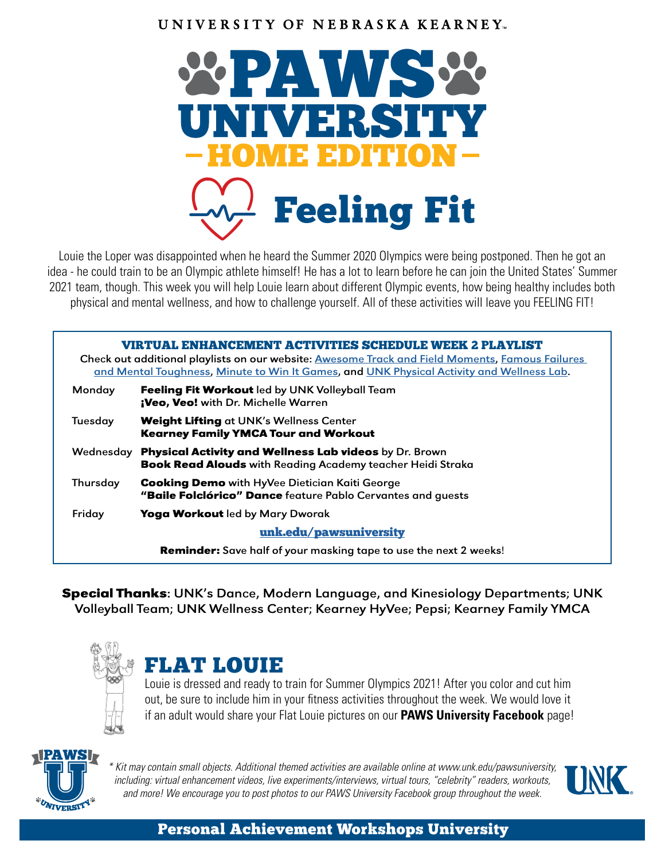#### UNIVERSITY OF NEBRASKA KEARNEY.



Louie the Loper was disappointed when he heard the Summer 2020 Olympics were being postponed. Then he got an idea - he could train to be an Olympic athlete himself! He has a lot to learn before he can join the United States' Summer 2021 team, though. This week you will help Louie learn about different Olympic events, how being healthy includes both physical and mental wellness, and how to challenge yourself. All of these activities will leave you FEELING FIT!

| VIRTUAL ENHANCEMENT ACTIVITIES SCHEDULE WEEK 2 PLAYLIST<br>Check out additional playlists on our website: Awesome Track and Field Moments, Famous Failures<br>and Mental Toughness, Minute to Win It Games, and UNK Physical Activity and Wellness Lab. |                                                                                                                             |  |  |  |  |
|---------------------------------------------------------------------------------------------------------------------------------------------------------------------------------------------------------------------------------------------------------|-----------------------------------------------------------------------------------------------------------------------------|--|--|--|--|
| Monday                                                                                                                                                                                                                                                  | Feeling Fit Workout led by UNK Volleyball Team<br>¡Veo, Veo! with Dr. Michelle Warren                                       |  |  |  |  |
| Tuesday                                                                                                                                                                                                                                                 | Weight Lifting at UNK's Wellness Center<br><b>Kearney Family YMCA Tour and Workout</b>                                      |  |  |  |  |
| Wednesday                                                                                                                                                                                                                                               | Physical Activity and Wellness Lab videos by Dr. Brown<br><b>Book Read Alouds with Reading Academy teacher Heidi Straka</b> |  |  |  |  |
| Thursday                                                                                                                                                                                                                                                | <b>Cooking Demo</b> with HyVee Dietician Kaiti George<br>"Baile Folclórico" Dance feature Pablo Cervantes and guests        |  |  |  |  |
| Friday                                                                                                                                                                                                                                                  | Yoga Workout led by Mary Dworak                                                                                             |  |  |  |  |
| unk.edu/pawsuniversity                                                                                                                                                                                                                                  |                                                                                                                             |  |  |  |  |
|                                                                                                                                                                                                                                                         | <b>Reminder:</b> Save half of your masking tape to use the next 2 weeks!                                                    |  |  |  |  |

Special Thanks: UNK's Dance, Modern Language, and Kinesiology Departments; UNK Volleyball Team; UNK Wellness Center; Kearney HyVee; Pepsi; Kearney Family YMCA



### FLAT LOUIE

Louie is dressed and ready to train for Summer Olympics 2021! After you color and cut him out, be sure to include him in your fitness activities throughout the week. We would love it if an adult would share your Flat Louie pictures on our **PAWS University Facebook** page!



*\* Kit may contain small objects. Additional themed activities are available online at www.unk.edu/pawsuniversity, including: virtual enhancement videos, live experiments/interviews, virtual tours, "celebrity" readers, workouts, and more! We encourage you to post photos to our PAWS University Facebook group throughout the week.*



#### Personal Achievement Workshops University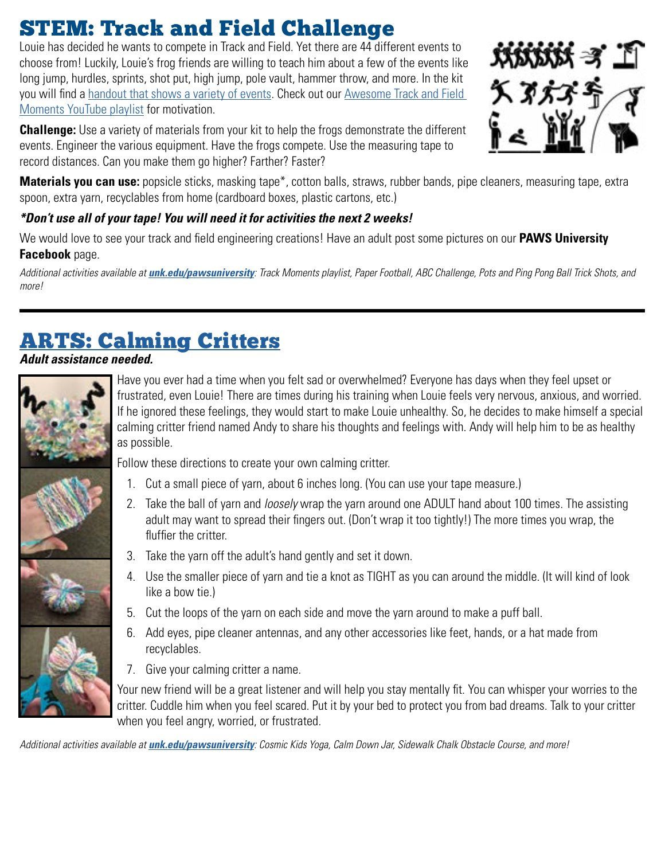## STEM: Track and Field Challenge

Louie has decided he wants to compete in Track and Field. Yet there are 44 different events to choose from! Luckily, Louie's frog friends are willing to teach him about a few of the events like long jump, hurdles, sprints, shot put, high jump, pole vault, hammer throw, and more. In the kit you will find a [handout that shows a variety of events.](https://docs.google.com/document/d/17QfuDm-qU2w-ghFA0T-3wNWwfLAbwlS-OgAgkCLDSLo/edit) Check out our [Awesome Track and Field](https://www.youtube.com/playlist?list=PLh7pOqBl9KZuxVAcA0i_PpfahQxGada2C)  [Moments YouTube playlist](https://www.youtube.com/playlist?list=PLh7pOqBl9KZuxVAcA0i_PpfahQxGada2C) for motivation.

**Challenge:** Use a variety of materials from your kit to help the frogs demonstrate the different events. Engineer the various equipment. Have the frogs compete. Use the measuring tape to record distances. Can you make them go higher? Farther? Faster?



**Materials you can use:** popsicle sticks, masking tape\*, cotton balls, straws, rubber bands, pipe cleaners, measuring tape, extra spoon, extra yarn, recyclables from home (cardboard boxes, plastic cartons, etc.)

#### *\*Don't use all of your tape! You will need it for activities the next 2 weeks!*

We would love to see your track and field engineering creations! Have an adult post some pictures on our **PAWS University Facebook** page.

*Additional activities available at [unk.edu/pawsuniversity](https://www.unk.edu/pawsuniversity/): Track Moments playlist, Paper Football, ABC Challenge, Pots and Ping Pong Ball Trick Shots, and more!*

### [ARTS: Calming Critters](https://confidentcounselors.com/2017/12/04/school-counseling-activities-using-string/)

#### *Adult assistance needed.*



Have you ever had a time when you felt sad or overwhelmed? Everyone has days when they feel upset or frustrated, even Louie! There are times during his training when Louie feels very nervous, anxious, and worried. If he ignored these feelings, they would start to make Louie unhealthy. So, he decides to make himself a special calming critter friend named Andy to share his thoughts and feelings with. Andy will help him to be as healthy as possible.

Follow these directions to create your own calming critter.

- 1. Cut a small piece of yarn, about 6 inches long. (You can use your tape measure.)
- 2. Take the ball of yarn and *loosely* wrap the yarn around one ADULT hand about 100 times. The assisting adult may want to spread their fingers out. (Don't wrap it too tightly!) The more times you wrap, the fluffier the critter.
- 3. Take the yarn off the adult's hand gently and set it down.
- 4. Use the smaller piece of yarn and tie a knot as TIGHT as you can around the middle. (It will kind of look like a bow tie.)
- 5. Cut the loops of the yarn on each side and move the yarn around to make a puff ball.
- 6. Add eyes, pipe cleaner antennas, and any other accessories like feet, hands, or a hat made from recyclables.
- 7. Give your calming critter a name.

Your new friend will be a great listener and will help you stay mentally fit. You can whisper your worries to the critter. Cuddle him when you feel scared. Put it by your bed to protect you from bad dreams. Talk to your critter when you feel angry, worried, or frustrated.

*Additional activities available at [unk.edu/pawsuniversity](https://www.unk.edu/pawsuniversity/): Cosmic Kids Yoga, Calm Down Jar, Sidewalk Chalk Obstacle Course, and more!*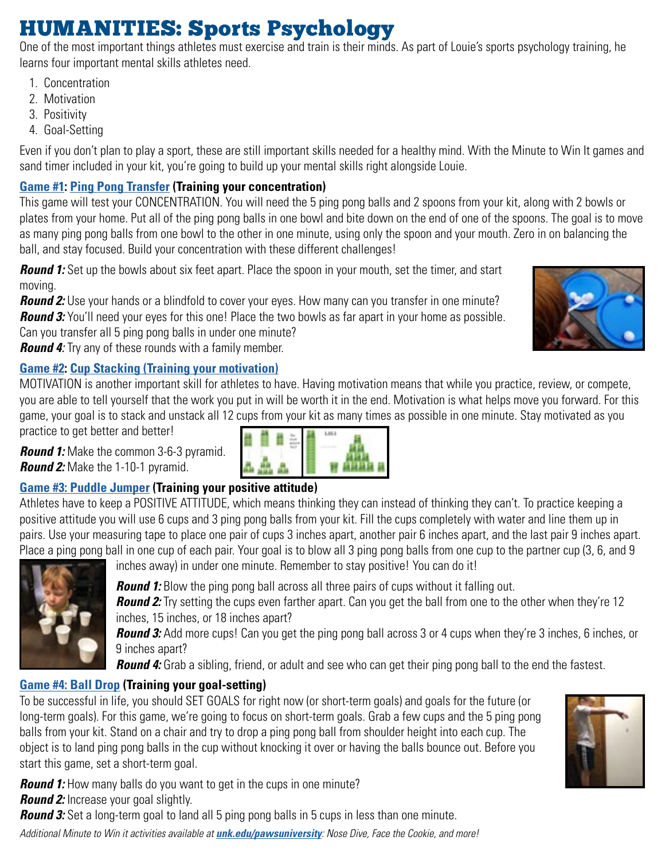## HUMANITIES: Sports Psychology

One of the most important things athletes must exercise and train is their minds. As part of Louie's sports psychology training, he learns four important mental skills athletes need.

- 1. Concentration
- 2. Motivation
- 3. Positivity
- 4. Goal-Setting

Even if you don't plan to play a sport, these are still important skills needed for a healthy mind. With the Minute to Win It games and sand timer included in your kit, you're going to build up your mental skills right alongside Louie.

### **[Game #1](https://happymomhacks.com/minute-to-win-it-party-games-for-kids/): [Ping Pong Transfer](https://youtu.be/uqavd4NahOA) (Training your concentration)**

This game will test your CONCENTRATION. You will need the 5 ping pong balls and 2 spoons from your kit, along with 2 bowls or plates from your home. Put all of the ping pong balls in one bowl and bite down on the end of one of the spoons. The goal is to move as many ping pong balls from one bowl to the other in one minute, using only the spoon and your mouth. Zero in on balancing the ball, and stay focused. Build your concentration with these different challenges!

**Round 1:** Set up the bowls about six feet apart. Place the spoon in your mouth, set the timer, and start moving.

**Round 2:** Use your hands or a blindfold to cover your eyes. How many can you transfer in one minute? **Round 3:** You'll need your eyes for this one! Place the two bowls as far apart in your home as possible.

Can you transfer all 5 ping pong balls in under one minute?

*Round 4:* Try any of these rounds with a family member.

#### **[Game #2](https://youtu.be/IAYWOOGj8_U): [Cup Stacking \(Training your motivation\)](https://youtu.be/82DNYqurkxo)**

MOTIVATION is another important skill for athletes to have. Having motivation means that while you practice, review, or compete, you are able to tell yourself that the work you put in will be worth it in the end. Motivation is what helps move you forward. For this game, your goal is to stack and unstack all 12 cups from your kit as many times as possible in one minute. Stay motivated as you

practice to get better and better!

*Round 1:* Make the common 3-6-3 pyramid. *Round 2:* Make the 1-10-1 pyramid.

#### **[Game #3: Puddle Jumper](https://youtu.be/gl96KBF9h8s) (Training your positive attitude)**

Athletes have to keep a POSITIVE ATTITUDE, which means thinking they can instead of thinking they can't. To practice keeping a positive attitude you will use 6 cups and 3 ping pong balls from your kit. Fill the cups completely with water and line them up in pairs. Use your measuring tape to place one pair of cups 3 inches apart, another pair 6 inches apart, and the last pair 9 inches apart. Place a ping pong ball in one cup of each pair. Your goal is to blow all 3 ping pong balls from one cup to the partner cup (3, 6, and 9



inches away) in under one minute. Remember to stay positive! You can do it!

**Round 1:** Blow the ping pong ball across all three pairs of cups without it falling out. **Round 2:** Try setting the cups even farther apart. Can you get the ball from one to the other when they're 12 inches, 15 inches, or 18 inches apart?

**Round 3:** Add more cups! Can you get the ping pong ball across 3 or 4 cups when they're 3 inches, 6 inches, or 9 inches apart?

**Round 4:** Grab a sibling, friend, or adult and see who can get their ping pong ball to the end the fastest.

### **[Game #4: Ball Drop](https://youtu.be/Vc3vvIeEyFc) (Training your goal-setting)**

To be successful in life, you should SET GOALS for right now (or short-term goals) and goals for the future (or long-term goals). For this game, we're going to focus on short-term goals. Grab a few cups and the 5 ping pong balls from your kit. Stand on a chair and try to drop a ping pong ball from shoulder height into each cup. The object is to land ping pong balls in the cup without knocking it over or having the balls bounce out. Before you start this game, set a short-term goal.

**Round 1:** How many balls do you want to get in the cups in one minute? *Round 2:* Increase your goal slightly.

**Round 3:** Set a long-term goal to land all 5 ping pong balls in 5 cups in less than one minute.

*Additional Minute to Win it activities available at [unk.edu/pawsuniversity](https://www.unk.edu/pawsuniversity/): Nose Dive, Face the Cookie, and more!*